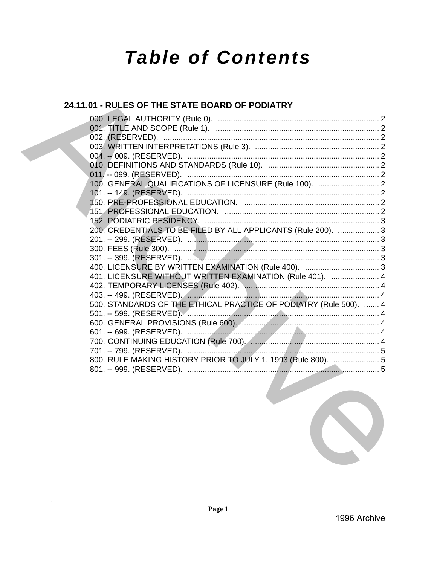# **Table of Contents**

# 24.11.01 - RULES OF THE STATE BOARD OF PODIATRY

| 100. GENERAL QUALIFICATIONS OF LICENSURE (Rule 100).  2           |  |
|-------------------------------------------------------------------|--|
|                                                                   |  |
|                                                                   |  |
|                                                                   |  |
| 152. PODIATRIC RESIDENCY.                                         |  |
| 200. CREDENTIALS TO BE FILED BY ALL APPLICANTS (Rule 200).  3     |  |
|                                                                   |  |
|                                                                   |  |
|                                                                   |  |
|                                                                   |  |
| 401. LICENSURE WITHOUT WRITTEN EXAMINATION (Rule 401).  4         |  |
|                                                                   |  |
|                                                                   |  |
| 500. STANDARDS OF THE ETHICAL PRACTICE OF PODIATRY (Rule 500).  4 |  |
|                                                                   |  |
|                                                                   |  |
|                                                                   |  |
|                                                                   |  |
|                                                                   |  |
| 800. RULE MAKING HISTORY PRIOR TO JULY 1, 1993 (Rule 800).  5     |  |
|                                                                   |  |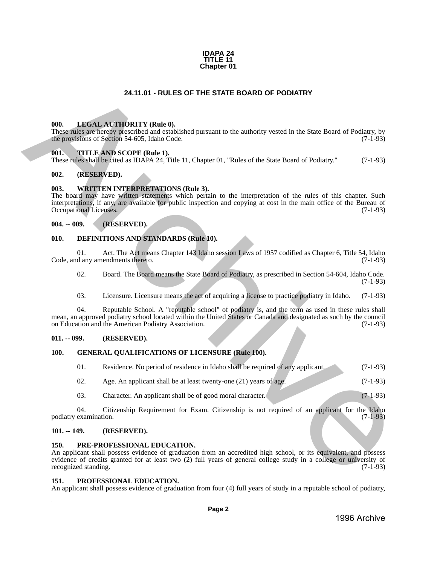#### **IDAPA 24 TITLE 11 Chapter 01**

# **24.11.01 - RULES OF THE STATE BOARD OF PODIATRY**

#### <span id="page-1-1"></span>**000. LEGAL AUTHORITY (Rule 0).**

These rules are hereby prescribed and established pursuant to the authority vested in the State Board of Podiatry, by the provisions of Section 54-605, Idaho Code. (7-1-93)

#### <span id="page-1-2"></span>**001. TITLE AND SCOPE (Rule 1).**

These rules shall be cited as IDAPA 24, Title 11, Chapter 01, "Rules of the State Board of Podiatry." (7-1-93)

#### <span id="page-1-3"></span>**002. (RESERVED).**

#### <span id="page-1-4"></span>**003. WRITTEN INTERPRETATIONS (Rule 3).**

<span id="page-1-0"></span>The board may have written statements which pertain to the interpretation of the rules of this chapter. Such interpretations, if any, are available for public inspection and copying at cost in the main office of the Bureau of Occupational Licenses. (7-1-93) **24.11.01 - RULES OF THE STATE BOARD OF PODIATRY<br>
THE INSTRUCTION CONTROLL CONTROLL CONTROLL CONTROLL CONTROLL CONTROLL CONTROLL CONTROLL CONTROLL CONTROLL CONTROLL CONTROLL CONTROLL CONTROLL CONTROLL CONTROLL CONTROLL CO** 

#### <span id="page-1-5"></span>**004. -- 009. (RESERVED).**

#### <span id="page-1-6"></span>**010. DEFINITIONS AND STANDARDS (Rule 10).**

01. Act. The Act means Chapter 143 Idaho session Laws of 1957 codified as Chapter 6, Title 54, Idaho d any amendments thereto. (7-1-93) Code, and any amendments thereto.

02. Board. The Board means the State Board of Podiatry, as prescribed in Section 54-604, Idaho Code. (7-1-93)

03. Licensure. Licensure means the act of acquiring a license to practice podiatry in Idaho. (7-1-93)

04. Reputable School. A "reputable school" of podiatry is, and the term as used in these rules shall mean, an approved podiatry school located within the United States or Canada and designated as such by the council on Education and the American Podiatry Association.

#### <span id="page-1-7"></span>**011. -- 099. (RESERVED).**

#### <span id="page-1-8"></span>**100. GENERAL QUALIFICATIONS OF LICENSURE (Rule 100).**

| -01. | Residence. No period of residence in Idaho shall be required of any applicant. | $(7-1-93)$ |
|------|--------------------------------------------------------------------------------|------------|
| 02.  | Age. An applicant shall be at least twenty-one $(21)$ years of age.            | $(7-1-93)$ |

03. Character. An applicant shall be of good moral character. (7-1-93)

04. Citizenship Requirement for Exam. Citizenship is not required of an applicant for the Idaho podiatry examination. (7-1-93)

#### <span id="page-1-9"></span>**101. -- 149. (RESERVED).**

#### <span id="page-1-10"></span>**150. PRE-PROFESSIONAL EDUCATION.**

An applicant shall possess evidence of graduation from an accredited high school, or its equivalent, and possess evidence of credits granted for at least two (2) full years of general college study in a college or university of recognized standing. (7-1-93) recognized standing.

#### <span id="page-1-11"></span>**151. PROFESSIONAL EDUCATION.**

An applicant shall possess evidence of graduation from four (4) full years of study in a reputable school of podiatry,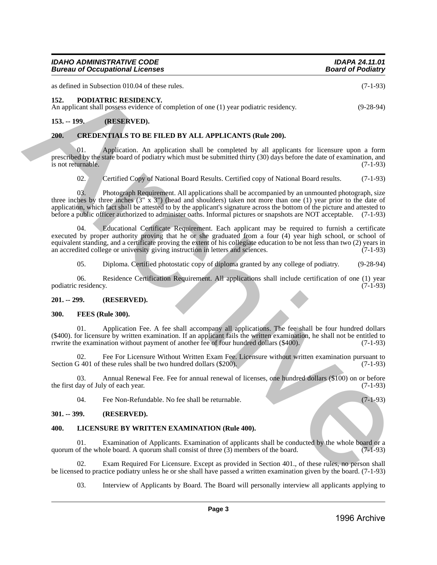| <b>IDAHO ADMINISTRATIVE CODE</b>       | <b>IDAPA 24.11.01</b>    |
|----------------------------------------|--------------------------|
| <b>Bureau of Occupational Licenses</b> | <b>Board of Podiatry</b> |

as defined in Subsection 010.04 of these rules. (7-1-93)

<span id="page-2-0"></span>**152. PODIATRIC RESIDENCY.** 

An applicant shall possess evidence of completion of one (1) year podiatric residency. (9-28-94)

# **153. -- 199. (RESERVED).**

## <span id="page-2-1"></span>**200. CREDENTIALS TO BE FILED BY ALL APPLICANTS (Rule 200).**

Application. An application shall be completed by all applicants for licensure upon a form prescribed by the state board of podiatry which must be submitted thirty (30) days before the date of examination, and is not returnable. (7-1-93) is not returnable.

# 02. Certified Copy of National Board Results. Certified copy of National Board results. (7-1-93)

03. Photograph Requirement. All applications shall be accompanied by an unmounted photograph, size three inches by three inches  $(3'' \times 3'')$  (head and shoulders) taken not more than one (1) year prior to the date of application, which fact shall be attested to by the applicant's signature across the bottom of the picture and attested to before a public officer authorized to administer oaths. Informal pictures or snapshots are NOT acceptable. (7-1-93)

04. Educational Certificate Requirement. Each applicant may be required to furnish a certificate executed by proper authority proving that he or she graduated from a four (4) year high school, or school of equivalent standing, and a certificate proving the extent of his collegiate education to be not less than two (2) years in an accredited college or university giving instruction in letters and sciences. (7-1-93) an accredited college or university giving instruction in letters and sciences. as defined in Showstime (III) at these rules.<br>
An applicant shall points at the Showstime (C-1.95)<br>
An applicant shall points at Showstime Completion of one (1) your podittic residency.<br>
An applicant shall points evidence

05. Diploma. Certified photostatic copy of diploma granted by any college of podiatry. (9-28-94)

06. Residence Certification Requirement. All applications shall include certification of one (1) year residency. (7-1-93) podiatric residency.

#### <span id="page-2-2"></span>**201. -- 299. (RESERVED).**

#### <span id="page-2-3"></span>**300. FEES (Rule 300).**

01. Application Fee. A fee shall accompany all applications. The fee shall be four hundred dollars (\$400). for licensure by written examination. If an applicant fails the written examination, he shall not be entitled to rrwrite the examination without payment of another fee of four hundred dollars (\$400). (7-1-93)

02. Fee For Licensure Without Written Exam Fee. Licensure without written examination pursuant to 3 401 of these rules shall be two hundred dollars (\$200). Section G 401 of these rules shall be two hundred dollars (\$200).

03. Annual Renewal Fee. Fee for annual renewal of licenses, one hundred dollars (\$100) on or before the first day of July of each year. (7-1-93)

04. Fee Non-Refundable. No fee shall be returnable. (7-1-93)

#### <span id="page-2-4"></span>**301. -- 399. (RESERVED).**

# <span id="page-2-5"></span>**400. LICENSURE BY WRITTEN EXAMINATION (Rule 400).**

01. Examination of Applicants. Examination of applicants shall be conducted by the whole board or a quorum of the whole board. A quorum shall consist of three (3) members of the board. (7-1-93)

02. Exam Required For Licensure. Except as provided in Section 401., of these rules, no person shall be licensed to practice podiatry unless he or she shall have passed a written examination given by the board. (7-1-93)

03. Interview of Applicants by Board. The Board will personally interview all applicants applying to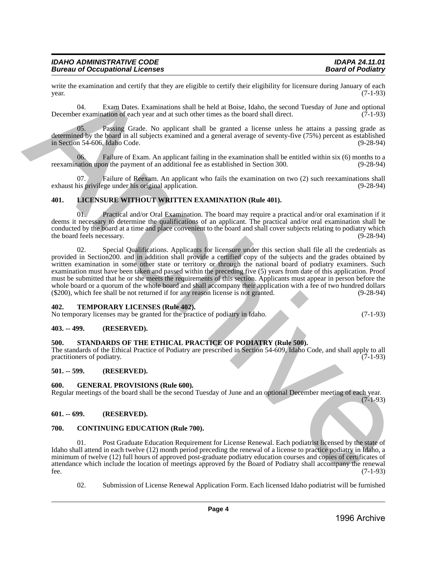| <b>IDAHO ADMINISTRATIVE CODE</b>       | <b>IDAPA 24.11.01</b>    |
|----------------------------------------|--------------------------|
| <b>Bureau of Occupational Licenses</b> | <b>Board of Podiatry</b> |

write the examination and certify that they are eligible to certify their eligibility for licensure during January of each vear.  $year.$  (7-1-93)

04. Exam Dates. Examinations shall be held at Boise, Idaho, the second Tuesday of June and optional December examination of each year and at such other times as the board shall direct. (7-1-93)

05. Passing Grade. No applicant shall be granted a license unless he attains a passing grade as determined by the board in all subjects examined and a general average of seventy-five (75%) percent as established in Section 54-606, Idaho Code. (9-28-94)

06. Failure of Exam. An applicant failing in the examination shall be entitled within six (6) months to a nation upon the payment of an additional fee as established in Section 300. (9-28-94) reexamination upon the payment of an additional fee as established in Section 300.

Failure of Reexam. An applicant who fails the examination on two (2) such reexaminations shall exhaust his privilege under his original application. (9-28-94)

# <span id="page-3-0"></span>**401. LICENSURE WITHOUT WRITTEN EXAMINATION (Rule 401).**

01. Practical and/or Oral Examination. The board may require a practical and/or oral examination if it deems it necessary to determine the qualifications of an applicant. The practical and/or oral examination shall be conducted by the board at a time and place convenient to the board and shall cover subjects relating to podiatry which<br>(9-28-94) the board feels necessary.

02. Special Qualifications. Applicants for licensure under this section shall file all the credentials as provided in Section200. and in addition shall provide a certified copy of the subjects and the grades obtained by written examination in some other state or territory or through the national board of podiatry examiners. Such examination must have been taken and passed within the preceding five (5) years from date of this application. Proof must be submitted that he or she meets the requirements of this section. Applicants must appear in person before the whole board or a quorum of the whole board and shall accompany their application with a fee of two hundred dollars (\$200), which fee shall be not returned if for any reason license is not granted. (9-28-94) with the current<br>internal certify that they are digite in certify their digitality in the<br>mean of  $(7-1.93)$  (b). Example (2) and the notation of the big at Boise, Daloby of Max and product<br>Decomposition of the mean of th

#### <span id="page-3-1"></span>**402. TEMPORARY LICENSES (Rule 402).**

No temporary licenses may be granted for the practice of podiatry in Idaho. (7-1-93)

#### <span id="page-3-2"></span>**403. -- 499. (RESERVED).**

#### <span id="page-3-3"></span>**500. STANDARDS OF THE ETHICAL PRACTICE OF PODIATRY (Rule 500).**

The standards of the Ethical Practice of Podiatry are prescribed in Section 54-609, Idaho Code, and shall apply to all practitioners of podiatry.

#### <span id="page-3-4"></span>**501. -- 599. (RESERVED).**

#### <span id="page-3-5"></span>**600. GENERAL PROVISIONS (Rule 600).**

Regular meetings of the board shall be the second Tuesday of June and an optional December meeting of each year.

# $(7-1-93)$

#### <span id="page-3-6"></span>**601. -- 699. (RESERVED).**

#### <span id="page-3-7"></span>**700. CONTINUING EDUCATION (Rule 700).**

01. Post Graduate Education Requirement for License Renewal. Each podiatrist licensed by the state of Idaho shall attend in each twelve (12) month period preceding the renewal of a license to practice podiatry in Idaho, a minimum of twelve (12) full hours of approved post-graduate podiatry education courses and copies of certificates of attendance which include the location of meetings approved by the Board of Podiatry shall accompany the renewal fee. (7-1-93)  $f^2$  fee.  $(7-1-93)$ 

02. Submission of License Renewal Application Form. Each licensed Idaho podiatrist will be furnished